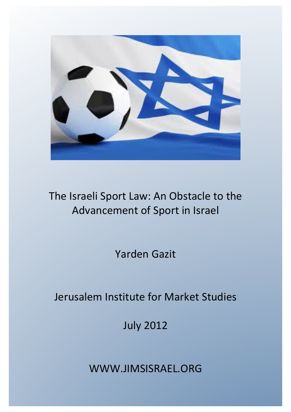

# The Israeli Sport Law: An Obstacle to the Advancement of Sport in Israel

Yarden Gazit

# Jerusalem Institute for Market Studies

July 2012

WWW.JIMSISRAEL.ORG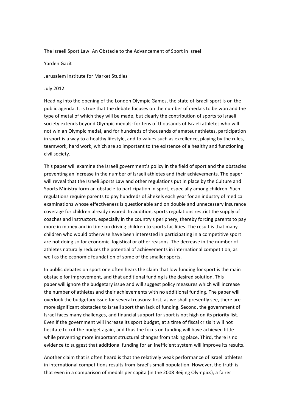The Israeli Sport Law: An Obstacle to the Advancement of Sport in Israel

Yarden Gazit

Jerusalem Institute for Market Studies

#### July 2012

Heading into the opening of the London Olympic Games, the state of Israeli sport is on the public agenda. It is true that the debate focuses on the number of medals to be won and the type of metal of which they will be made, but clearly the contribution of sports to Israeli society extends beyond Olympic medals: for tens of thousands of Israeli athletes who will not win an Olympic medal, and for hundreds of thousands of amateur athletes, participation in sport is a way to a healthy lifestyle, and to values such as excellence, playing by the rules, teamwork, hard work, which are so important to the existence of a healthy and functioning civil society.

This paper will examine the Israeli government's policy in the field of sport and the obstacles preventing an increase in the number of Israeli athletes and their achievements. The paper will reveal that the Israeli Sports Law and other regulations put in place by the Culture and Sports Ministry form an obstacle to participation in sport, especially among children. Such regulations require parents to pay hundreds of Shekels each year for an industry of medical examinations whose effectiveness is questionable and on double and unnecessary insurance coverage for children already insured. In addition, sports regulations restrict the supply of coaches and instructors, especially in the country's periphery, thereby forcing parents to pay more in money and in time on driving children to sports facilities. The result is that many children who would otherwise have been interested in participating in a competitive sport are not doing so for economic, logistical or other reasons. The decrease in the number of athletes naturally reduces the potential of achievements in international competition, as well as the economic foundation of some of the smaller sports.

In public debates on sport one often hears the claim that low funding for sport is the main obstacle for improvement, and that additional funding is the desired solution. This paper will ignore the budgetary issue and will suggest policy measures which will increase the number of athletes and their achievements with no additional funding. The paper will overlook the budgetary issue for several reasons: first, as we shall presently see, there are more significant obstacles to Israeli sport than lack of funding. Second, the government of Israel faces many challenges, and financial support for sport is not high on its priority list. Even if the government will increase its sport budget, at a time of fiscal crisis it will not hesitate to cut the budget again, and thus the focus on funding will have achieved little while preventing more important structural changes from taking place. Third, there is no evidence to suggest that additional funding for an inefficient system will improve its results.

Another claim that is often heard is that the relatively weak performance of Israeli athletes in international competitions results from Israel's small population. However, the truth is that even in a comparison of medals per capita (in the 2008 Beijing Olympics), a fairer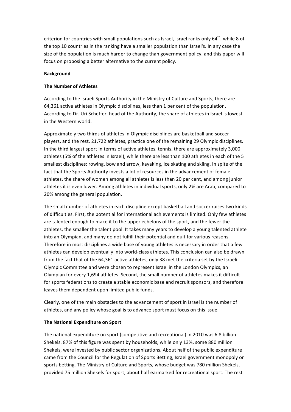criterion for countries with small populations such as Israel, Israel ranks only  $64<sup>th</sup>$ , while 8 of the top 10 countries in the ranking have a smaller population than Israel's. In any case the size of the population is much harder to change than government policy, and this paper will focus on proposing a better alternative to the current policy.

### **Background**

## **The Number of Athletes**

According to the Israeli Sports Authority in the Ministry of Culture and Sports, there are 64,361 active athletes in Olympic disciplines, less than 1 per cent of the population. According to Dr. Uri Scheffer, head of the Authority, the share of athletes in Israel is lowest in the Western world.

Approximately two thirds of athletes in Olympic disciplines are basketball and soccer players, and the rest, 21,722 athletes, practice one of the remaining 29 Olympic disciplines. In the third largest sport in terms of active athletes, tennis, there are approximately 3,000 athletes (5% of the athletes in Israel), while there are less than 100 athletes in each of the 5 smallest disciplines: rowing, bow and arrow, kayaking, ice skating and skiing. In spite of the fact that the Sports Authority invests a lot of resources in the advancement of female athletes, the share of women among all athletes is less than 20 per cent, and among junior athletes it is even lower. Among athletes in individual sports, only 2% are Arab, compared to 20% among the general population.

The small number of athletes in each discipline except basketball and soccer raises two kinds of difficulties. First, the potential for international achievements is limited. Only few athletes are talented enough to make it to the upper echelons of the sport, and the fewer the athletes, the smaller the talent pool. It takes many years to develop a young talented athlete into an Olympian, and many do not fulfill their potential and quit for various reasons. Therefore in most disciplines a wide base of young athletes is necessary in order that a few athletes can develop eventually into world-class athletes. This conclusion can also be drawn from the fact that of the 64,361 active athletes, only 38 met the criteria set by the Israeli Olympic Committee and were chosen to represent Israel in the London Olympics, an Olympian for every 1,694 athletes. Second, the small number of athletes makes it difficult for sports federations to create a stable economic base and recruit sponsors, and therefore leaves them dependent upon limited public funds.

Clearly, one of the main obstacles to the advancement of sport in Israel is the number of athletes, and any policy whose goal is to advance sport must focus on this issue.

### **The National Expenditure on Sport**

The national expenditure on sport (competitive and recreational) in 2010 was 6.8 billion Shekels. 87% of this figure was spent by households, while only 13%, some 880 million Shekels, were invested by public sector organizations. About half of the public expenditure came from the Council for the Regulation of Sports Betting, Israel government monopoly on sports betting. The Ministry of Culture and Sports, whose budget was 780 million Shekels, provided 75 million Shekels for sport, about half earmarked for recreational sport. The rest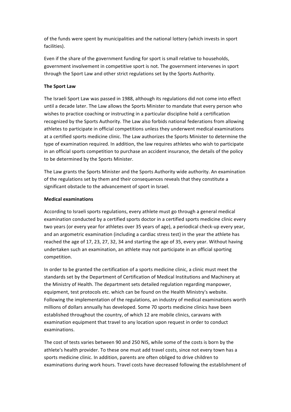of the funds were spent by municipalities and the national lottery (which invests in sport facilities).

Even if the share of the government funding for sport is small relative to households, government involvement in competitive sport is not. The government intervenes in sport through the Sport Law and other strict regulations set by the Sports Authority.

# **The Sport Law**

The Israeli Sport Law was passed in 1988, although its regulations did not come into effect until a decade later. The Law allows the Sports Minister to mandate that every person who wishes to practice coaching or instructing in a particular discipline hold a certification recognized by the Sports Authority. The Law also forbids national federations from allowing athletes to participate in official competitions unless they underwent medical examinations at a certified sports medicine clinic. The Law authorizes the Sports Minister to determine the type of examination required. In addition, the law requires athletes who wish to participate in an official sports competition to purchase an accident insurance, the details of the policy to be determined by the Sports Minister.

The Law grants the Sports Minister and the Sports Authority wide authority. An examination of the regulations set by them and their consequences reveals that they constitute a significant obstacle to the advancement of sport in Israel.

# **Medical examinations**

According to Israeli sports regulations, every athlete must go through a general medical examination conducted by a certified sports doctor in a certified sports medicine clinic every two years (or every year for athletes over 35 years of age), a periodical check-up every year, and an argometric examination (including a cardiac stress test) in the year the athlete has reached the age of 17, 23, 27, 32, 34 and starting the age of 35, every year. Without having undertaken such an examination, an athlete may not participate in an official sporting competition.

In order to be granted the certification of a sports medicine clinic, a clinic must meet the standards set by the Department of Certification of Medical Institutions and Machinery at the Ministry of Health. The department sets detailed regulation regarding manpower, equipment, test protocols etc. which can be found on the Health Ministry's website. Following the implementation of the regulations, an industry of medical examinations worth millions of dollars annually has developed. Some 70 sports medicine clinics have been established throughout the country, of which 12 are mobile clinics, caravans with examination equipment that travel to any location upon request in order to conduct examinations.

The cost of tests varies between 90 and 250 NIS, while some of the costs is born by the athlete's health provider. To these one must add travel costs, since not every town has a sports medicine clinic. In addition, parents are often obliged to drive children to examinations during work hours. Travel costs have decreased following the establishment of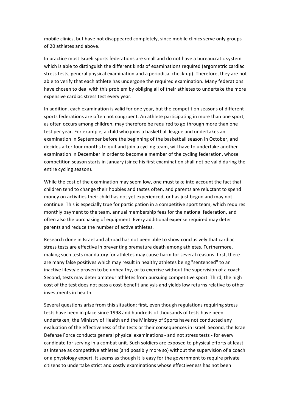mobile clinics, but have not disappeared completely, since mobile clinics serve only groups of 20 athletes and above.

In practice most Israeli sports federations are small and do not have a bureaucratic system which is able to distinguish the different kinds of examinations required (argometric cardiac stress tests, general physical examination and a periodical check-up). Therefore, they are not able to verify that each athlete has undergone the required examination. Many federations have chosen to deal with this problem by obliging all of their athletes to undertake the more expensive cardiac stress test every year.

In addition, each examination is valid for one year, but the competition seasons of different sports federations are often not congruent. An athlete participating in more than one sport, as often occurs among children, may therefore be required to go through more than one test per year. For example, a child who joins a basketball league and undertakes an examination in September before the beginning of the basketball season in October, and decides after four months to quit and join a cycling team, will have to undertake another examination in December in order to become a member of the cycling federation, whose competition season starts in January (since his first examination shall not be valid during the entire cycling season).

While the cost of the examination may seem low, one must take into account the fact that children tend to change their hobbies and tastes often, and parents are reluctant to spend money on activities their child has not yet experienced, or has just begun and may not continue. This is especially true for participation in a competitive sport team, which requires monthly payment to the team, annual membership fees for the national federation, and often also the purchasing of equipment. Every additional expense required may deter parents and reduce the number of active athletes.

Research done in Israel and abroad has not been able to show conclusively that cardiac stress tests are effective in preventing premature death among athletes. Furthermore, making such tests mandatory for athletes may cause harm for several reasons: first, there are many false positives which may result in healthy athletes being "sentenced" to an inactive lifestyle proven to be unhealthy, or to exercise without the supervision of a coach. Second, tests may deter amateur athletes from pursuing competitive sport. Third, the high cost of the test does not pass a cost-benefit analysis and yields low returns relative to other investments in health.

Several questions arise from this situation: first, even though regulations requiring stress tests have been in place since 1998 and hundreds of thousands of tests have been undertaken, the Ministry of Health and the Ministry of Sports have not conducted any evaluation of the effectiveness of the tests or their consequences in Israel. Second, the Israel Defense Force conducts general physical examinations - and not stress tests - for every candidate for serving in a combat unit. Such soldiers are exposed to physical efforts at least as intense as competitive athletes (and possibly more so) without the supervision of a coach or a physiology expert. It seems as though it is easy for the government to require private citizens to undertake strict and costly examinations whose effectiveness has not been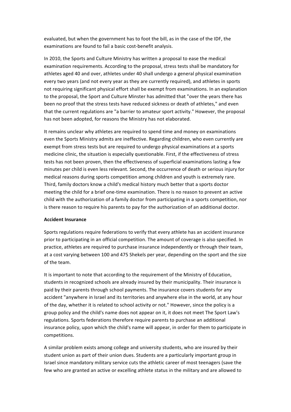evaluated, but when the government has to foot the bill, as in the case of the IDF, the examinations are found to fail a basic cost-benefit analysis.

In 2010, the Sports and Culture Ministry has written a proposal to ease the medical examination requirements. According to the proposal, stress tests shall be mandatory for athletes aged 40 and over, athletes under 40 shall undergo a general physical examination every two years (and not every year as they are currently required), and athletes in sports not requiring significant physical effort shall be exempt from examinations. In an explanation to the proposal, the Sport and Culture Minster has admitted that "over the years there has been no proof that the stress tests have reduced sickness or death of athletes," and even that the current regulations are "a barrier to amateur sport activity." However, the proposal has not been adopted, for reasons the Ministry has not elaborated.

It remains unclear why athletes are required to spend time and money on examinations even the Sports Ministry admits are ineffective. Regarding children, who even currently are exempt from stress tests but are required to undergo physical examinations at a sports medicine clinic, the situation is especially questionable. First, if the effectiveness of stress tests has not been proven, then the effectiveness of superficial examinations lasting a few minutes per child is even less relevant. Second, the occurrence of death or serious injury for medical reasons during sports competition among children and youth is extremely rare. Third, family doctors know a child's medical history much better that a sports doctor meeting the child for a brief one-time examination. There is no reason to prevent an active child with the authorization of a family doctor from participating in a sports competition, nor is there reason to require his parents to pay for the authorization of an additional doctor.

### **Accident Insurance**

Sports regulations require federations to verify that every athlete has an accident insurance prior to participating in an official competition. The amount of coverage is also specified. In practice, athletes are required to purchase insurance independently or through their team, at a cost varying between 100 and 475 Shekels per year, depending on the sport and the size of the team.

It is important to note that according to the requirement of the Ministry of Education, students in recognized schools are already insured by their municipality. Their insurance is paid by their parents through school payments. The insurance covers students for any accident "anywhere in Israel and its territories and anywhere else in the world, at any hour of the day, whether it is related to school activity or not." However, since the policy is a group policy and the child's name does not appear on it, it does not meet The Sport Law's regulations. Sports federations therefore require parents to purchase an additional insurance policy, upon which the child's name will appear, in order for them to participate in competitions.

A similar problem exists among college and university students, who are insured by their student union as part of their union dues. Students are a particularly important group in Israel since mandatory military service cuts the athletic career of most teenagers (save the few who are granted an active or excelling athlete status in the military and are allowed to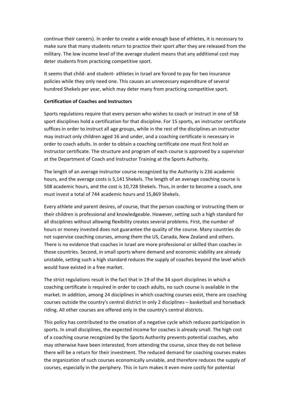continue their careers). In order to create a wide enough base of athletes, it is necessary to make sure that many students return to practice their sport after they are released from the military. The low income level of the average student means that any additional cost may deter students from practicing competitive sport.

It seems that child- and student- athletes in Israel are forced to pay for two insurance policies while they only need one. This causes an unnecessary expenditure of several hundred Shekels per year, which may deter many from practicing competitive sport.

#### **Certification of Coaches and Instructors**

Sports regulations require that every person who wishes to coach or instruct in one of 58 sport disciplines hold a certification for that discipline. For 15 sports, an instructor certificate suffices in order to instruct all age groups, while in the rest of the disciplines an instructor may instruct only children aged 16 and under, and a coaching certificate is necessary in order to coach adults. In order to obtain a coaching certificate one must first hold an instructor certificate. The structure and program of each course is approved by a supervisor at the Department of Coach and Instructor Training at the Sports Authority.

The length of an average instructor course recognized by the Authority is 236 academic hours, and the average costs is 5,141 Shekels. The length of an average coaching course is 508 academic hours, and the cost is 10.728 Shekels. Thus, in order to become a coach, one must invest a total of 744 academic hours and 15,869 Shekels.

Every athlete and parent desires, of course, that the person coaching or instructing them or their children is professional and knowledgeable. However, setting such a high standard for all disciplines without allowing flexibility creates several problems. First, the number of hours or money invested does not guarantee the quality of the course. Many countries do not supervise coaching courses, among them the US, Canada, New Zealand and others. There is no evidence that coaches in Israel are more professional or skilled than coaches in those countries. Second, in small sports where demand and economic viability are already unstable, setting such a high standard reduces the supply of coaches beyond the level which would have existed in a free market.

The strict regulations result in the fact that in 19 of the 34 sport disciplines in which a coaching certificate is required in order to coach adults, no such course is available in the market. In addition, among 24 disciplines in which coaching courses exist, there are coaching courses outside the country's central district in only 2 disciplines - basketball and horseback riding. All other courses are offered only in the country's central districts.

This policy has contributed to the creation of a negative cycle which reduces participation in sports. In small disciplines, the expected income for coaches is already small. The high cost of a coaching course recognized by the Sports Authority prevents potential coaches, who may otherwise have been interested, from attending the course, since they do not believe there will be a return for their investment. The reduced demand for coaching courses makes the organization of such courses economically unviable, and therefore reduces the supply of courses, especially in the periphery. This in turn makes it even more costly for potential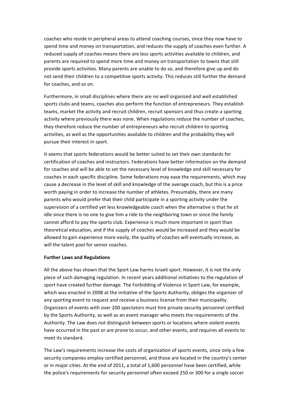coaches who reside in peripheral areas to attend coaching courses, since they now have to spend time and money on transportation, and reduces the supply of coaches even further. A reduced supply of coaches means there are less sports activities available to children, and parents are required to spend more time and money on transportation to towns that still provide sports activities. Many parents are unable to do so, and therefore give up and do not send their children to a competitive sports activity. This reduces still further the demand for coaches, and so on.

Furthermore, in small disciplines where there are no well organized and well established sports clubs and teams, coaches also perform the function of entrepreneurs. They establish teams, market the activity and recruit children, recruit sponsors and thus create a sporting activity where previously there was none. When regulations reduce the number of coaches, they therefore reduce the number of entrepreneurs who recruit children to sporting activities, as well as the opportunities available to children and the probability they will pursue their interest in sport.

It seems that sports federations would be better suited to set their own standards for certification of coaches and instructors. Federations have better information on the demand for coaches and will be able to set the necessary level of knowledge and skill necessary for coaches in each specific discipline. Some federations may ease the requirements, which may cause a decrease in the level of skill and knowledge of the average coach, but this is a price worth paying in order to increase the number of athletes. Presumably, there are many parents who would prefer that their child participate in a sporting activity under the supervision of a certified yet less knowledgeable coach when the alternative is that he sit idle since there is no one to give him a ride to the neighboring town or since the family cannot afford to pay the sports club. Experience is much more important in sport than theoretical education, and if the supply of coaches would be increased and they would be allowed to gain experience more easily, the quality of coaches will eventually increase, as will the talent pool for senior coaches.

#### **Further Laws and Regulations**

All the above has shown that the Sport Law harms Israeli sport. However, it is not the only piece of such damaging regulation. In recent years additional initiatives to the regulation of sport have created further damage. The Forbidding of Violence in Sport Law, for example, which was enacted in 2008 at the initiative of the Sports Authority, obliges the organizer of any sporting event to request and receive a business license from their municipality. Organizers of events with over 200 spectators must hire private security personnel certified by the Sports Authority, as well as an event manager who meets the requirements of the Authority. The Law does not distinguish between sports or locations where violent events have occurred in the past or are prone to occur, and other events, and requires all events to meet its standard.

The Law's requirements increase the costs of organization of sports events, since only a few security companies employ certified personnel, and those are located in the country's center or in major cities. At the end of 2011, a total of 1,600 personnel have been certified, while the police's requirements for security personnel often exceed 250 or 300 for a single soccer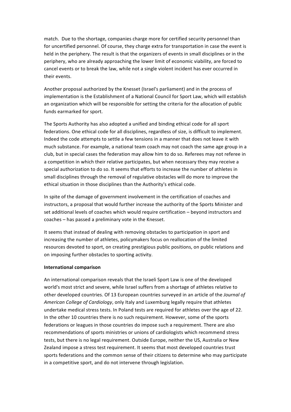match. Due to the shortage, companies charge more for certified security personnel than for uncertified personnel. Of course, they charge extra for transportation in case the event is held in the periphery. The result is that the organizers of events in small disciplines or in the periphery, who are already approaching the lower limit of economic viability, are forced to cancel events or to break the law, while not a single violent incident has ever occurred in their events.

Another proposal authorized by the Knesset (Israel's parliament) and in the process of implementation is the Establishment of a National Council for Sport Law, which will establish an organization which will be responsible for setting the criteria for the allocation of public funds earmarked for sport.

The Sports Authority has also adopted a unified and binding ethical code for all sport federations. One ethical code for all disciplines, regardless of size, is difficult to implement. Indeed the code attempts to settle a few tensions in a manner that does not leave it with much substance. For example, a national team coach may not coach the same age group in a club, but in special cases the federation may allow him to do so. Referees may not referee in a competition in which their relative participates, but when necessary they may receive a special authorization to do so. It seems that efforts to increase the number of athletes in small disciplines through the removal of regulative obstacles will do more to improve the ethical situation in those disciplines than the Authority's ethical code.

In spite of the damage of government involvement in the certification of coaches and instructors, a proposal that would further increase the authority of the Sports Minister and set additional levels of coaches which would require certification – beyond instructors and coaches – has passed a preliminary vote in the Knesset.

It seems that instead of dealing with removing obstacles to participation in sport and increasing the number of athletes, policymakers focus on reallocation of the limited resources devoted to sport, on creating prestigious public positions, on public relations and on imposing further obstacles to sporting activity.

#### **International comparison**

An international comparison reveals that the Israeli Sport Law is one of the developed world's most strict and severe, while Israel suffers from a shortage of athletes relative to other developed countries. Of 13 European countries surveyed in an article of the *Journal of American College of Cardiology*, only Italy and Luxemburg legally require that athletes undertake medical stress tests. In Poland tests are required for athletes over the age of 22. In the other 10 countries there is no such requirement. However, some of the sports federations or leagues in those countries do impose such a requirement. There are also recommendations of sports ministries or unions of cardiologists which recommend stress tests, but there is no legal requirement. Outside Europe, neither the US, Australia or New Zealand impose a stress test requirement. It seems that most developed countries trust sports federations and the common sense of their citizens to determine who may participate in a competitive sport, and do not intervene through legislation.